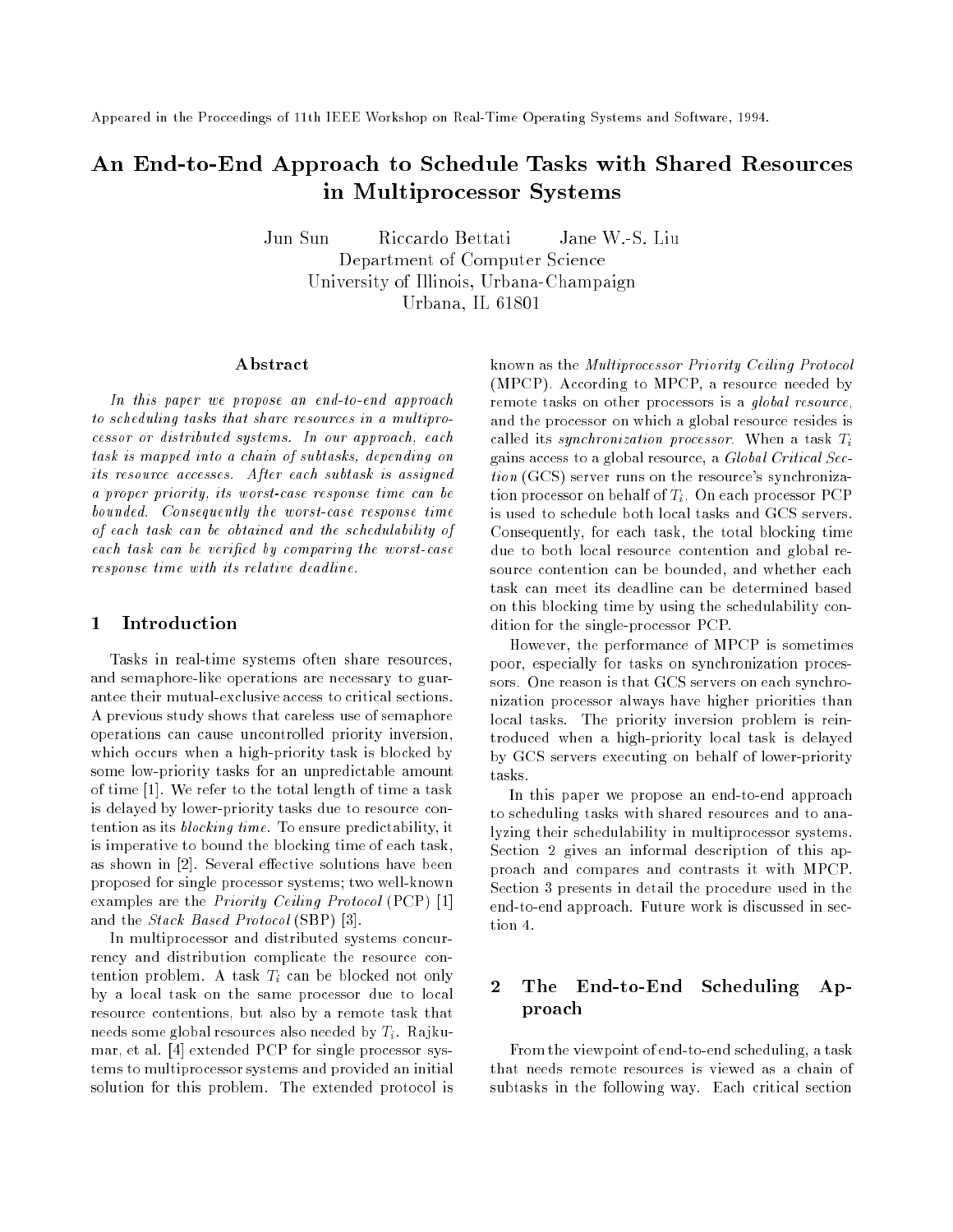Appeared in the Proceedings of 11th IEEE Workshop on Real-Time Operating Systems and Software, 1994.

# An End-to-End Approach to Schedule Tasks with Shared Resources in Multiprocessor Systems

Jun Sun Riccardo Bettati Jane W.-S. Liu Department of Computer Science University of Indians in the University of Indians and Urbana Champaign Champaign Champaign Champaign Champaign Urbana, IL 61801

#### Abstract

In this paper we propose an end-to-end approach to scheduling tasks that share resources in a multiprocessor or distributed systems. In our approach, each task is mapped into a chain of subtasks, depending on its resource accesses. After each subtask is assigned a proper priority, its worst-case response time can be bounded. Consequently the worst-case response time of each task can be obtained and the schedulability of each task can be veried by comparing the worst-case response time with its relative dead line.

#### $\mathbf{1}$ Introduction

Tasks in real-time systems often share resources, and semaphore-like operations are necessary to guarantee their mutual-exclusive access to critical sections. A previous study shows that careless use of semaphore operations can cause uncontrolled priority inversion, which occurs when a high-priority task is blocked by some low-priority tasks for an unpredictable amount of time [1]. We refer to the total length of time a task is delayed by lower-priority tasks due to resource contention as its blocking time. To ensure predictability, it is imperative to bound the blocking time of each task, as shown in [2]. Several effective solutions have been proposed for single processor systems; two well-known examples are the Priority Ceiling Protocol (PCP) [1] and the Stack Based Protocol (SBP) [3].

In multiprocessor and distributed systems concurrency and distribution complicate the resource contention problem. A task  $T_i$  can be blocked not only by a local task on the same processor due to local resource contentions, but also by a remote task that needs some global resources also needed by  $T_i$ . Rajkumar, et al. [4] extended PCP for single processor systems to multiprocessor systems and provided an initial solution for this problem. The extended protocol is known as the Multiprocessor Priority Ceiling Protocol (MPCP). According to MPCP, a resource needed by remote tasks on other processors is a global resource, and the processor on which a global resource resides is called its synchronization processor. When a task  $T_i$ gains access to a global resource, a Global Critical Section (GCS) server runs on the resource's synchronization processor on behalf of  $T_i$ . On each processor PCP is used to schedule both local tasks and GCS servers. Consequently, for each task, the total blocking time due to both local resource contention and global resource contention can be bounded, and whether each task can meet its deadline can be determined based on this blocking time by using the schedulability condition for the single-processor PCP.

However, the performance of MPCP is sometimes poor, especially for tasks on synchronization processors. One reason is that GCS servers on each synchronization processor always have higher priorities than local tasks. The priority inversion problem is reintroduced when a high-priority local task is delayed by GCS servers executing on behalf of lower-priority tasks.

In this paper we propose an end-to-end approach to scheduling tasks with shared resources and to analyzing their schedulability in multiprocessor systems. Section 2 gives an informal description of this approach and compares and contrasts it with MPCP. Section 3 presents in detail the procedure used in the end-to-end approach. Future work is discussed in section 4.

#### $\mathbf 2$ The End-to-End Scheduling Approach

From the viewpoint of end-to-end scheduling, a task that needs remote resources is viewed as a chain of subtasks in the following way. Each critical section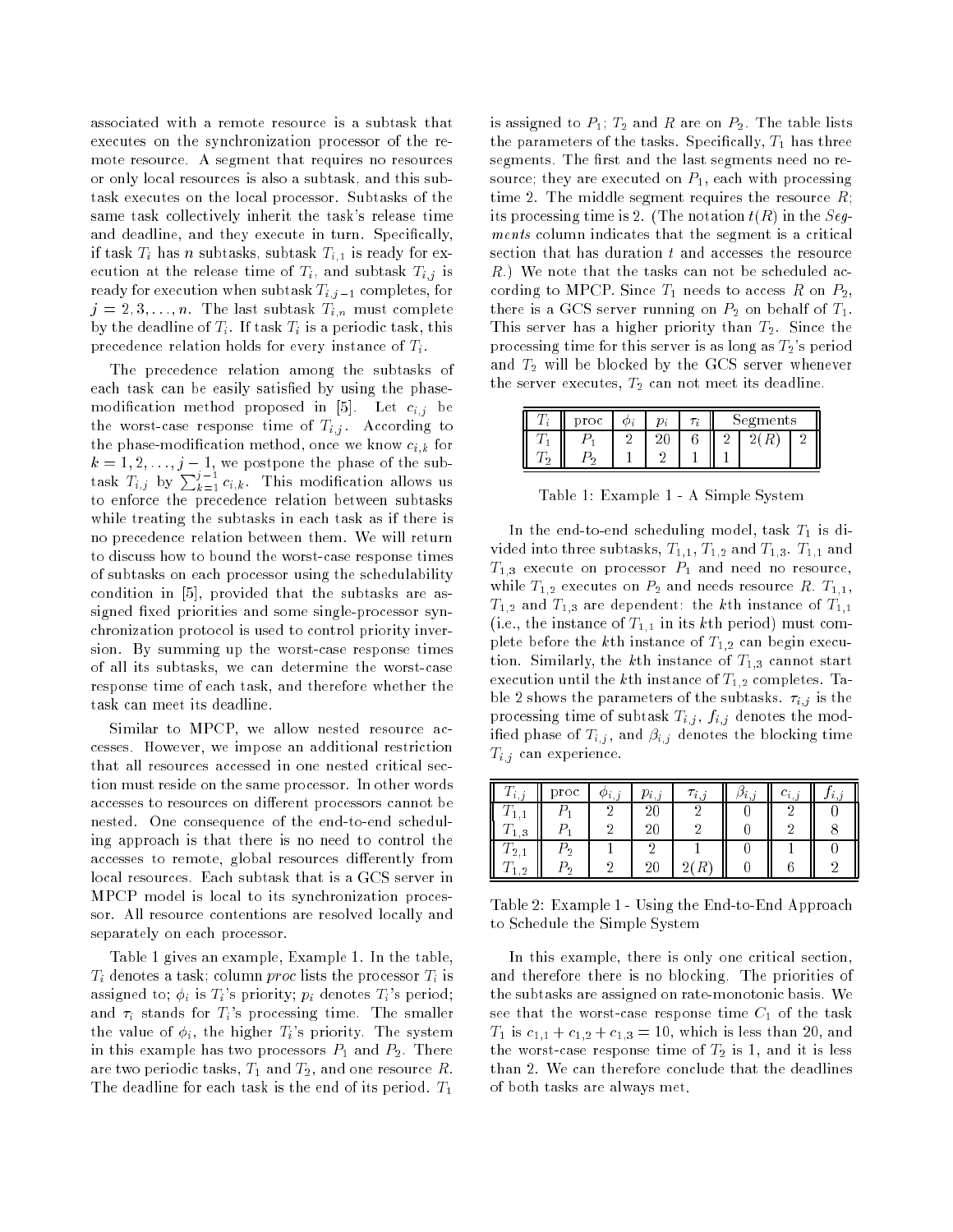associated with a remote resource is a subtask that executes on the synchronization processor of the remote resource. A segment that requires no resources or only local resources is also a subtask, and this subtask executes on the local processor. Subtasks of the same task collectively inherit the task's release time and deadline, and they execute in turn. Specically, if task  $T_i$  has n subtasks, subtask  $T_{i,1}$  is ready for execution at the release time of  $T_i$ , and subtask  $T_{i,j}$  is ready for execution when subtask  $T_{i,j-1}$  completes, for  $j = 2, 3, \ldots, n$ . The last subtask  $T_{i,n}$  must complete by the deadline of  $T_i$ . If task  $T_i$  is a periodic task, this precedence relation holds for every instance of  $T_i$ .

The precedence relation among the subtasks of each task can be easily satisfied by using the phasemodification method proposed in [5]. Let  $c_{i,j}$  be the worst-case response time of  $T_{i,j}$ . According to the phase-modification method, once we know  $c_{i,k}$  for  $k = 1, 2, \ldots, j - 1$ , we postpone the phase of the subtask  $T_{i,j}$  by  $\sum_{k=1}^{j-1} c_{i,k}$ . This modification allows us to enforce the precedence relation between subtasks while treating the subtasks in each task as if there is no precedence relation between them. We will return to discuss how to bound the worst-case response times of subtasks on each processor using the schedulability condition in [5], provided that the subtasks are assigned fixed priorities and some single-processor synchronization protocol is used to control priority inversion. By summing up the worst-case response times of all its subtasks, we can determine the worst-case response time of each task, and therefore whether the task can meet its deadline.

Similar to MPCP, we allow nested resource accesses. However, we impose an additional restriction that all resources accessed in one nested critical section must reside on the same processor. In other words accesses to resources on different processors cannot be nested. One consequence of the end-to-end scheduling approach is that there is no need to control the accesses to remote, global resources differently from local resources. Each subtask that is a GCS server in MPCP model is local to its synchronization processor. All resource contentions are resolved locally and separately on each processor.

Table 1 gives an example, Example 1. In the table,  $T_i$  denotes a task; column proc lists the processor  $T_i$  is assigned to;  $\phi_i$  is  $T_i$ 's priority;  $p_i$  denotes  $T_i$ 's period; and  $\tau_i$  stands for  $T_i$ 's processing time. The smaller the value of  $\phi_i$ , the higher  $T_i$ 's priority. The system in this example has two processors  $P_1$  and  $P_2$ . There are two periodic tasks,  $T_1$  and  $T_2$ , and one resource R. The deadline for each task is the end of its period.  $T_1$ 

is assigned to  $P_1$ ;  $T_2$  and R are on  $P_2$ . The table lists the parameters of the tasks. Specifically,  $T_1$  has three segments. The first and the last segments need no resource; they are executed on  $P_1$ , each with processing time 2. The middle segment requires the resource  $R$ ; its processing time is 2. (The notation  $t(R)$  in the Seqments column indicates that the segment is a critical section that has duration t and accesses the resource  $R$ .) We note that the tasks can not be scheduled according to MPCP. Since  $T_1$  needs to access R on  $P_2$ , there is a GCS server running on  $P_2$  on behalf of  $T_1$ . This server has a higher priority than  $T_2$ . Since the processing time for this server is as long as  $T_2$ 's period and  $T_2$  will be blocked by the GCS server whenever the server executes,  $T_2$  can not meet its deadline.

|  | proc |  | egments |  |  |
|--|------|--|---------|--|--|
|  |      |  |         |  |  |
|  |      |  |         |  |  |

Table 1: Example 1 - A Simple System

In the end-to-end scheduling model, task  $T_1$  is divided into three subtasks,  $T_{1,1}$ ,  $T_{1,2}$  and  $T_{1,3}$ .  $T_{1,1}$  and  $T_{1,3}$  execute on processor  $P_1$  and need no resource, while  $T_{1,2}$  executes on  $P_2$  and needs resource R.  $T_{1,1}$ ,  $T_{1,2}$  and  $T_{1,3}$  are dependent: the k<sup>th</sup> instance of  $T_{1,1}$ (i.e., the instance of  $T_{1,1}$  in its kth period) must complete before the kth instance of  $T_{1,2}$  can begin execution. Similarly, the kth instance of  $T_{1,3}$  cannot start execution until the kth instance of  $T_{1,2}$  completes. Table 2 shows the parameters of the subtasks.  $\tau_{i,j}$  is the processing time of subtask  $T_{i,j}$ ,  $f_{i,j}$  denotes the modified phase of  $T_{i,j}$ , and  $\beta_{i,j}$  denotes the blocking time  $T_{i,j}$  can experience.

| $i_{12}$ | proc | Ψ<br>$\cdot$ $\iota$ , $\iota$ | i,j | $\imath$ , | i,j | $\sim i_{12}$ | $\iota$ . |
|----------|------|--------------------------------|-----|------------|-----|---------------|-----------|
|          |      |                                |     |            |     |               |           |
| 3        |      |                                |     |            |     |               |           |
| 2        | ົດ   |                                |     |            |     |               |           |
| റ<br>△   | ച    |                                |     |            |     |               |           |

Table 2: Example 1 - Using the End-to-End Approach to Schedule the Simple System

In this example, there is only one critical section, and therefore there is no blocking. The priorities of the subtasks are assigned on rate-monotonic basis. We see that the worst-case response time  $C_1$  of the task  $T_1$  is  $c_{1,1} + c_{1,2} + c_{1,3} = 10$ , which is less than 20, and the worst-case response time of  $T_2$  is 1, and it is less than 2. We can therefore conclude that the deadlines of both tasks are always met.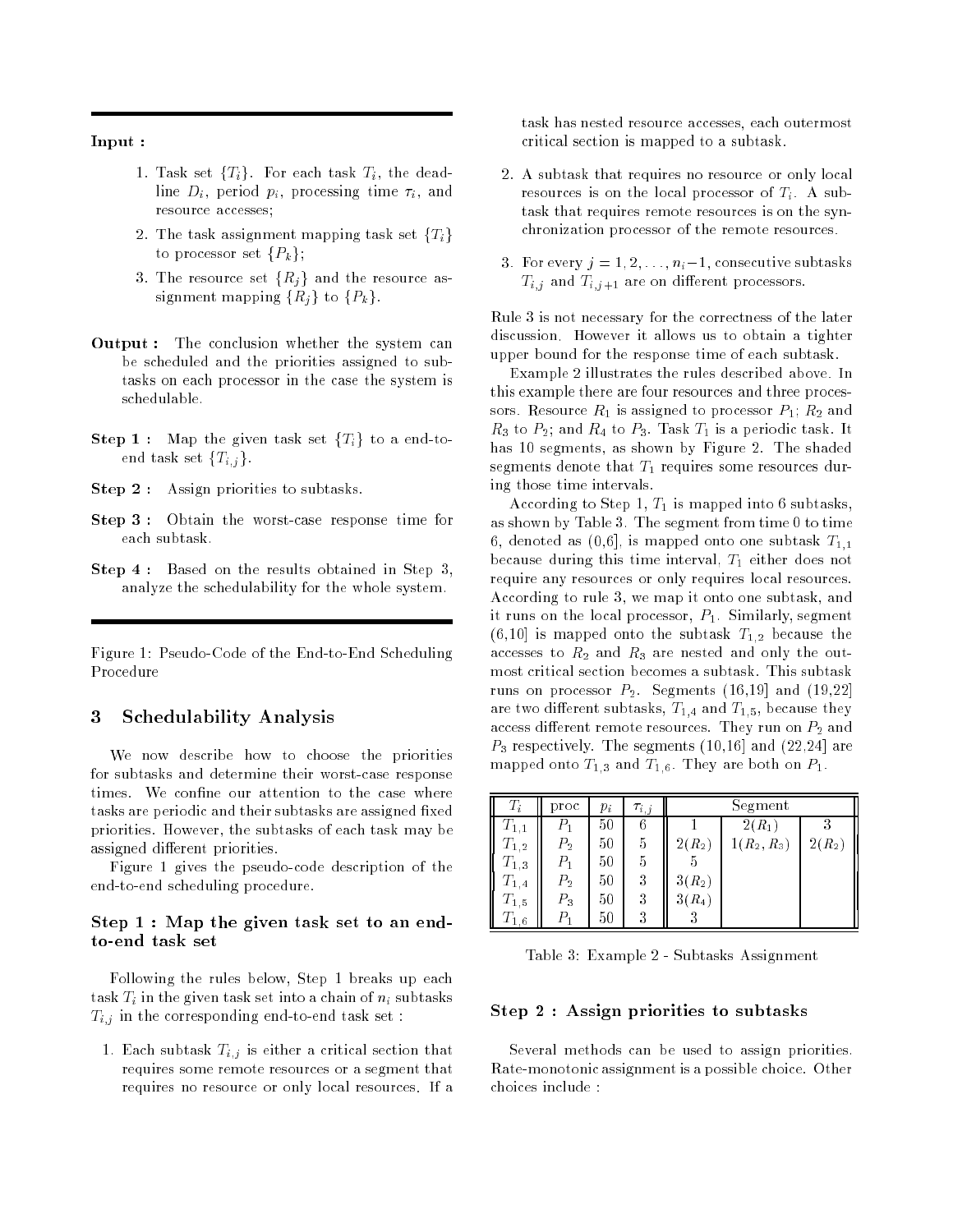Input :

- 1. Task set  $\{T_i\}$ . For each task  $T_i$ , the deadline  $D_i$ , period  $p_i$ , processing time  $\tau_i$ , and resource accesses;
- 2. The task assignment mapping task set  $\{T_i\}$ to processor set  $\{P_k\};$
- 3. The resource set  $\{R_i\}$  and the resource assignment mapping  $\{R_i\}$  to  $\{P_k\}$ .
- Output : The conclusion whether the system can be scheduled and the priorities assigned to subtasks on each processor in the case the system is schedulable.
- **Step 1** : Map the given task set  $\{T_i\}$  to a end-toend task set  $\{T_{i,j}\}.$
- Step 2 : Assign priorities to subtasks.
- Step 3 : Obtain the worst-case response time for each subtask.
- Step 4 : Based on the results obtained in Step 3, analyze the schedulability for the whole system.

Figure 1: Pseudo-Code of the End-to-End Scheduling Procedure

## 3 Schedulability Analysis

We now describe how to choose the priorities for subtasks and determine their worst-case response times. We confine our attention to the case where tasks are periodic and their subtasks are assigned fixed priorities. However, the subtasks of each task may be assigned different priorities.

Figure 1 gives the pseudo-code description of the end-to-end scheduling procedure.

### Step 1 : Map the given task set to an endto-end task set

Following the rules below, Step 1 breaks up each task  $T_i$  in the given task set into a chain of  $n_i$  subtasks  $T_{i,j}$  in the corresponding end-to-end task set :

1. Each subtask  $T_{i,j}$  is either a critical section that requires some remote resources or a segment that requires no resource or only local resources. If a

task has nested resource accesses, each outermost critical section is mapped to a subtask.

- 2. A subtask that requires no resource or only local resources is on the local processor of  $T_i$ . A subtask that requires remote resources is on the synchronization processor of the remote resources.
- 3. For every  $j = 1, 2, \ldots, n_i-1$ , consecutive subtasks  $T_{i,j}$  and  $T_{i,j+1}$  are on different processors.

Rule 3 is not necessary for the correctness of the later discussion. However it allows us to obtain a tighter upper bound for the response time of each subtask.

Example 2 illustrates the rules described above. In this example there are four resources and three processors. Resource  $R_1$  is assigned to processor  $P_1$ ;  $R_2$  and  $R_3$  to  $P_2$ ; and  $R_4$  to  $P_3$ . Task  $T_1$  is a periodic task. It has 10 segments, as shown by Figure 2. The shaded segments denote that  $T_1$  requires some resources during those time intervals.

According to Step 1,  $T_1$  is mapped into 6 subtasks as shown by Table 3. The segment from time 0 to time 6, denoted as  $(0,6]$ , is mapped onto one subtask  $T_{1,1}$ because during this time interval,  $T_1$  either does not require any resources or only requires local resources. According to rule 3, we map it onto one subtask, and it runs on the local processor,  $P_1$ . Similarly, segment  $(6,10)$  is mapped onto the subtask  $T_{1,2}$  because the accesses to  $R_2$  and  $R_3$  are nested and only the outmost critical section becomes a subtask. This subtask runs on processor  $P_2$ . Segments (16,19] and (19,22] are two different subtasks,  $T_{1,4}$  and  $T_{1,5}$ , because they access different remote resources. They run on  $P_2$  and  $P_3$  respectively. The segments  $(10,16)$  and  $(22,24)$  are mapped onto  $T_{1,3}$  and  $T_{1,6}$ . They are both on  $P_1$ .

| $T_i$                  | proc  | $p_i$ | $\tau_{i,j}$ |          | Segment       |          |
|------------------------|-------|-------|--------------|----------|---------------|----------|
| $T_{1,1}$              |       | 50    | 6            |          | $2(R_1)$      |          |
| $T_{\rm 1,2}$          | $P_2$ | 50    | 5            | $2(R_2)$ | $1(R_2, R_3)$ | $2(R_2)$ |
| I<br>$T_{1,3}$         |       | 50    | 5            |          |               |          |
| $\scriptstyle T_{1.4}$ | $P_2$ | 50    | 3            | $3(R_2)$ |               |          |
| $T_{\rm 1.5}$          | $P_3$ | 50    | 3            | $3(R_4)$ |               |          |
| <br>  <br>  <br>1.6    |       | 50    | 3            |          |               |          |

Table 3: Example 2 - Subtasks Assignment

#### Step 2 : Assign priorities to subtasks

Several methods can be used to assign priorities. Rate-monotonic assignment is a possible choice. Other choices include :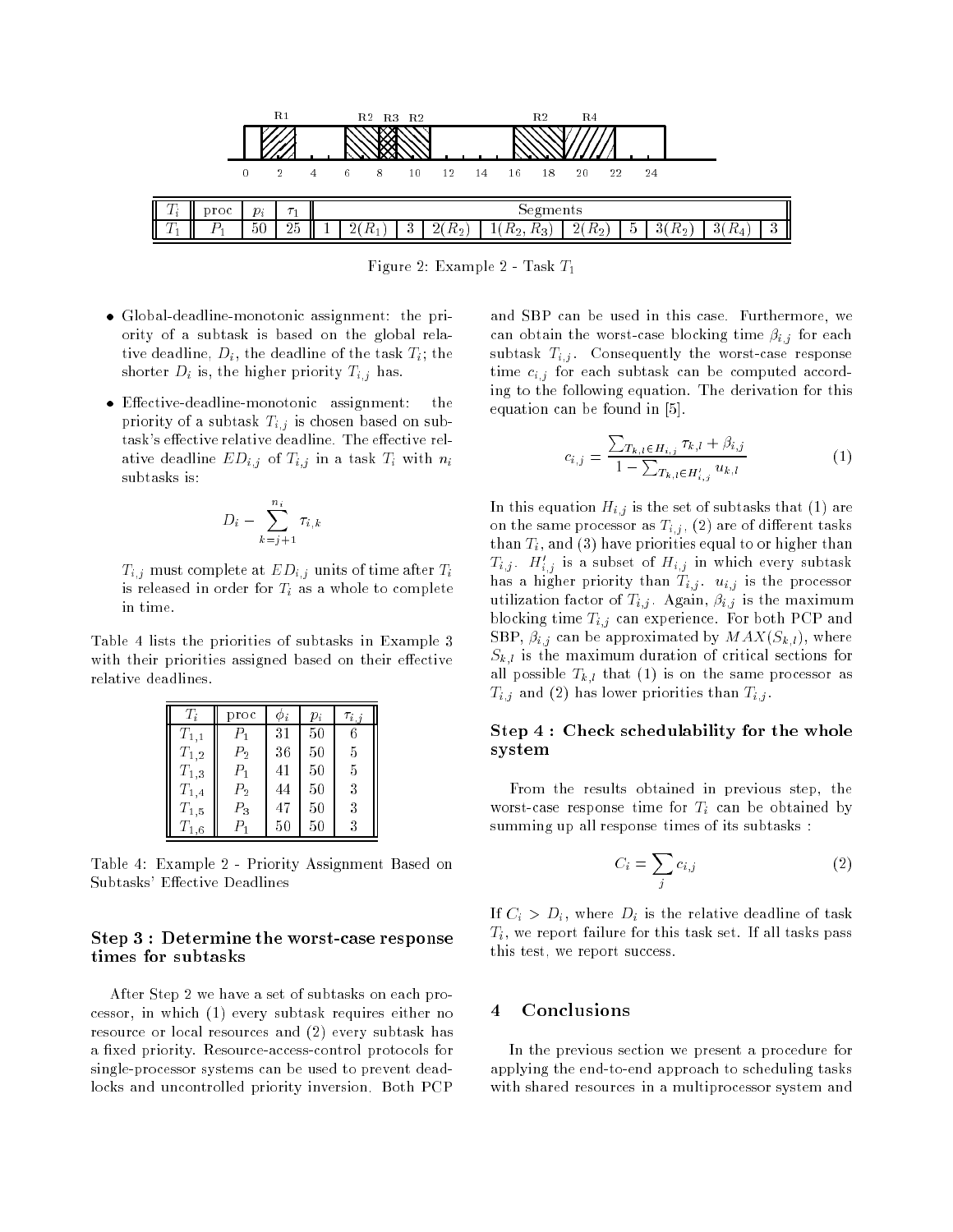

Figure 2: Example 2 - Task  $T_1$ 

- Global-deadline-monotonic assignment: the priority of a subtask is based on the global relative deadline,  $D_i$ , the deadline of the task  $T_i$ ; the shorter  $D_i$  is, the higher priority  $T_{i,j}$  has.
- the Eective-deadline-monotonic assignment: the priority of a subtask  $T_{i,j}$  is chosen based on subtask's effective relative deadline. The effective relative deadline  $ED_{i,j}$  of  $T_{i,j}$  in a task  $T_i$  with  $n_i$ subtasks is:

$$
D_i - \sum_{k=j+1}^{n_i} \tau_{i,k}
$$

 $T_{i,j}$  must complete at  $ED_{i,j}$  units of time after  $T_i$ is released in order for  $T_i$  as a whole to complete in time.

Table 4 lists the priorities of subtasks in Example 3 with their priorities assigned based on their effective relative deadlines.

| $T_i$     | proc    | $\varphi_i$ | $p_i$ | $\tau_{i,j}$ |
|-----------|---------|-------------|-------|--------------|
| $T_{1,1}$ | $P_1$   | 31          | 50    | 6            |
| $T_{1,2}$ | $P_{2}$ | 36          | 50    | 5            |
| $T_{1,3}$ | $P_1$   | 41          | 50    | 5            |
| $T_{1,4}$ | $P_{2}$ | 44          | 50    | 3            |
| $T_{1,5}$ | $P_3$   | 47          | 50    | 3            |
| $T_{1,6}$ | $\,P_1$ | 50          | 50    | 3            |

Table 4: Example 2 - Priority Assignment Based on Subtasks' Effective Deadlines

#### Step 3 : Determine the worst-case response times for subtasks

After Step 2 we have a set of subtasks on each processor, in which (1) every subtask requires either no resource or local resources and (2) every subtask has a fixed priority. Resource-access-control protocols for single-processor systems can be used to prevent deadlocks and uncontrolled priority inversion. Both PCP and SBP can be used in this case. Furthermore, we can obtain the worst-case blocking time  $\beta_{i,j}$  for each subtask  $T_{i,j}$ . Consequently the worst-case response time  $c_{i,j}$  for each subtask can be computed according to the following equation. The derivation for this equation can be found in [5].

$$
c_{i,j} = \frac{\sum_{T_{k,l} \in H_{i,j}} \tau_{k,l} + \beta_{i,j}}{1 - \sum_{T_{k,l} \in H'_{i,j}} u_{k,l}} \tag{1}
$$

In this equation  $H_{i,j}$  is the set of subtasks that (1) are on the same processor as  $T_{i,j}$ , (2) are of different tasks than  $T_i$ , and (3) have priorities equal to or higher than  $T_{i,j}$ .  $H'_{i,j}$  is a subset of  $H_{i,j}$  in which every subtask has a higher priority than  $T_{i,j}$ .  $u_{i,j}$  is the processor utilization factor of  $T_{i,j}$ . Again,  $\beta_{i,j}$  is the maximum blocking time  $T_{i,j}$  can experience. For both PCP and SBP,  $\beta_{i,j}$  can be approximated by  $MAX(S_{k,l})$ , where  $S_{k,l}$  is the maximum duration of critical sections for all possible  $T_{k,l}$  that (1) is on the same processor as  $T_{i,j}$  and (2) has lower priorities than  $T_{i,j}$ .

### Step 4 : Check schedulability for the whole system

From the results obtained in previous step, the worst-case response time for  $T_i$  can be obtained by summing up all response times of its subtasks :

$$
C_i = \sum_j c_{i,j} \tag{2}
$$

If  $C_i > D_i$ , where  $D_i$  is the relative deadline of task  $T_i$ , we report failure for this task set. If all tasks pass this test, we report success.

#### **Conclusions** 4

In the previous section we present a procedure for applying the end-to-end approach to scheduling tasks with shared resources in a multiprocessor system and